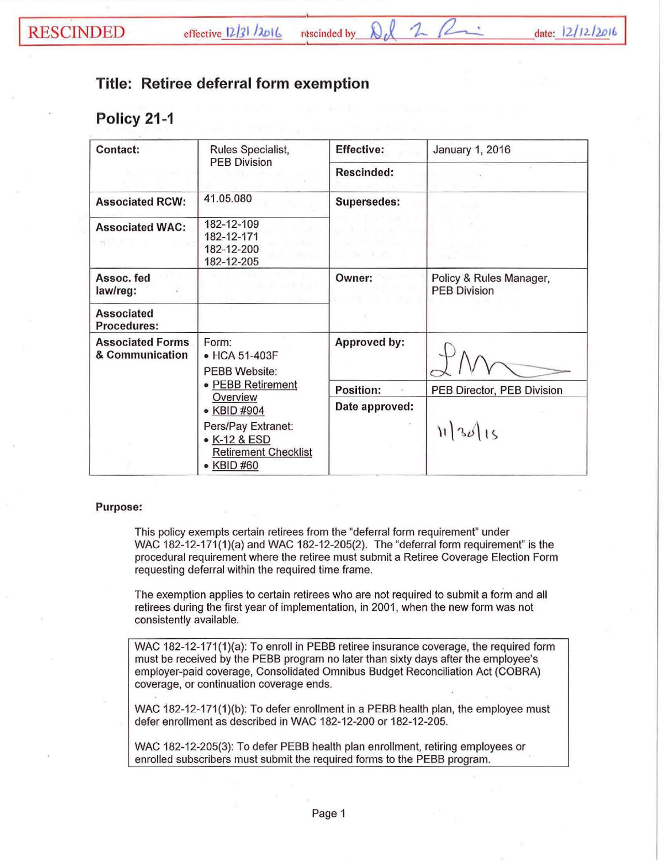## **Title: Retiree deferral form exemption**

## **Policy 21 -1**

| Contact:                                   | Rules Specialist,<br><b>PEB Division</b>                                        | <b>Effective:</b>  | <b>January 1, 2016</b>                         |
|--------------------------------------------|---------------------------------------------------------------------------------|--------------------|------------------------------------------------|
|                                            |                                                                                 | <b>Rescinded:</b>  |                                                |
| <b>Associated RCW:</b>                     | 41.05.080                                                                       | <b>Supersedes:</b> |                                                |
| <b>Associated WAC:</b>                     | 182-12-109<br>182-12-171<br>182-12-200<br>182-12-205                            |                    |                                                |
| Assoc. fed<br>law/reg:                     |                                                                                 | Owner:             | Policy & Rules Manager,<br><b>PEB Division</b> |
| <b>Associated</b><br>Procedures:           |                                                                                 |                    |                                                |
| <b>Associated Forms</b><br>& Communication | Form:<br>• HCA 51-403F<br>PEBB Website:                                         | Approved by:       |                                                |
|                                            | · PEBB Retirement                                                               | Position:          | PEB Director, PEB Division                     |
|                                            | Overview<br>• KBID #904                                                         | Date approved:     |                                                |
|                                            | Pers/Pay Extranet:<br>• K-12 & ESD<br><b>Retirement Checklist</b><br>• KBID #60 |                    | 1136115                                        |

## Purpose:

This policy exempts certain retirees from the "deferral form requirement" under WAC 182-12-171(1)(a) and WAC 182-12-205(2). The "deferral form requirement" is the procedural requirement where the retiree must submit a Retiree Coverage Election Form requesting deferral within the required time frame.

The exemption applies to certain retirees who are not required to submit a form and all retirees during the first year of implementation, in 2001, when the new form was not consistently available.

WAC 182-12-171{1){a): To enroll in PEBB retiree insurance coverage, the required form must be received by the PEBB program no later than sixty days after the employee's employer-paid coverage, Consolidated Omnibus Budget Reconciliation Act {COBRA) coverage, or continuation coverage ends.

WAC 182-12-171(1)(b): To defer enrollment in a PEBB health plan, the employee must defer enrollment as described in WAC 182-12-200 or 182-12-205.

WAC 182-12-205(3): To defer PEBB health plan enrollment, retiring employees or enrolled subscribers must submit the required forms to the PEBB program.